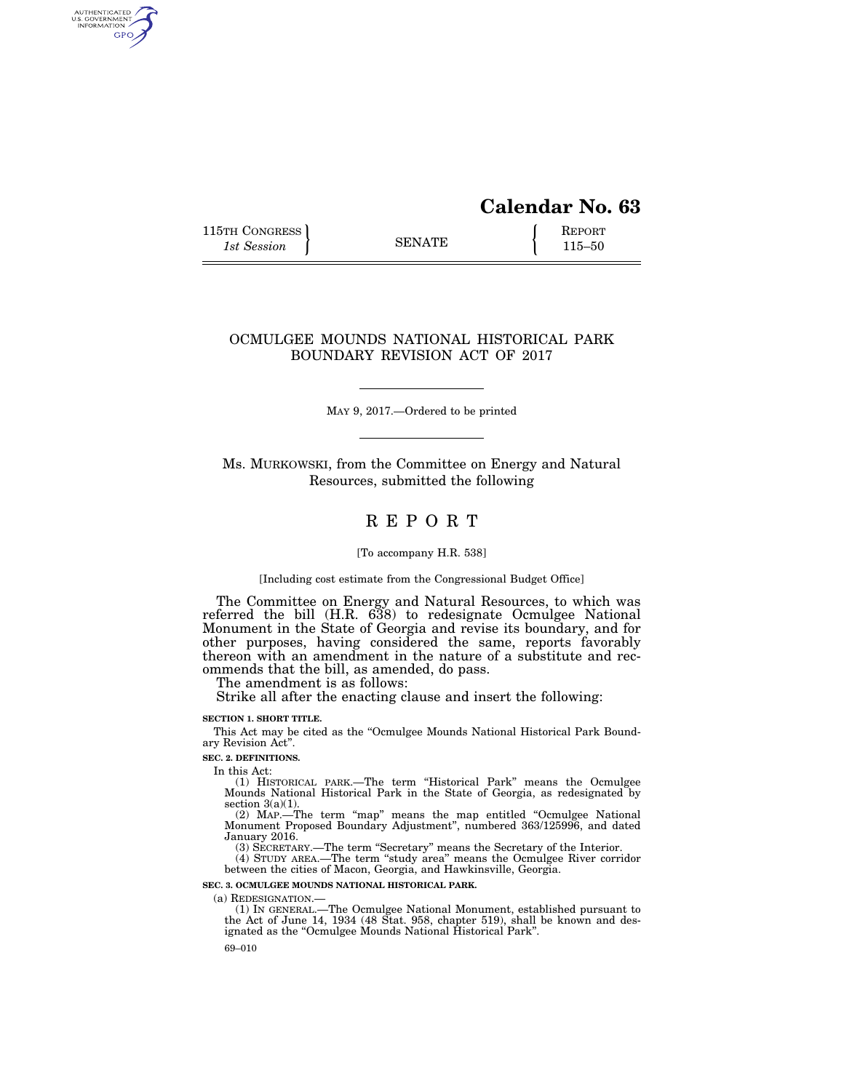# **Calendar No. 63**

115TH CONGRESS REPORT 115-50

AUTHENTICATED<br>U.S. GOVERNMENT<br>INFORMATION GPO

### OCMULGEE MOUNDS NATIONAL HISTORICAL PARK BOUNDARY REVISION ACT OF 2017

MAY 9, 2017.—Ordered to be printed

Ms. MURKOWSKI, from the Committee on Energy and Natural Resources, submitted the following

## R E P O R T

#### [To accompany H.R. 538]

[Including cost estimate from the Congressional Budget Office]

The Committee on Energy and Natural Resources, to which was referred the bill (H.R. 638) to redesignate Ocmulgee National Monument in the State of Georgia and revise its boundary, and for other purposes, having considered the same, reports favorably thereon with an amendment in the nature of a substitute and recommends that the bill, as amended, do pass.

The amendment is as follows:

Strike all after the enacting clause and insert the following:

### **SECTION 1. SHORT TITLE.**

This Act may be cited as the ''Ocmulgee Mounds National Historical Park Boundary Revision Act''.

#### **SEC. 2. DEFINITIONS.**

In this Act:

(1) HISTORICAL PARK.—The term ''Historical Park'' means the Ocmulgee Mounds National Historical Park in the State of Georgia, as redesignated by section  $3(a)(1)$ .

(2) MAP.—The term ''map'' means the map entitled ''Ocmulgee National Monument Proposed Boundary Adjustment'', numbered 363/125996, and dated January 2016.

(3) SECRETARY.—The term ''Secretary'' means the Secretary of the Interior.

(4) STUDY AREA.—The term ''study area'' means the Ocmulgee River corridor between the cities of Macon, Georgia, and Hawkinsville, Georgia.

**SEC. 3. OCMULGEE MOUNDS NATIONAL HISTORICAL PARK.** 

(a) REDESIGNATION.—

(1) IN GENERAL.—The Ocmulgee National Monument, established pursuant to the Act of June 14, 1934 (48 Stat. 958, chapter 519), shall be known and designated as the ''Ocmulgee Mounds National Historical Park''.

69–010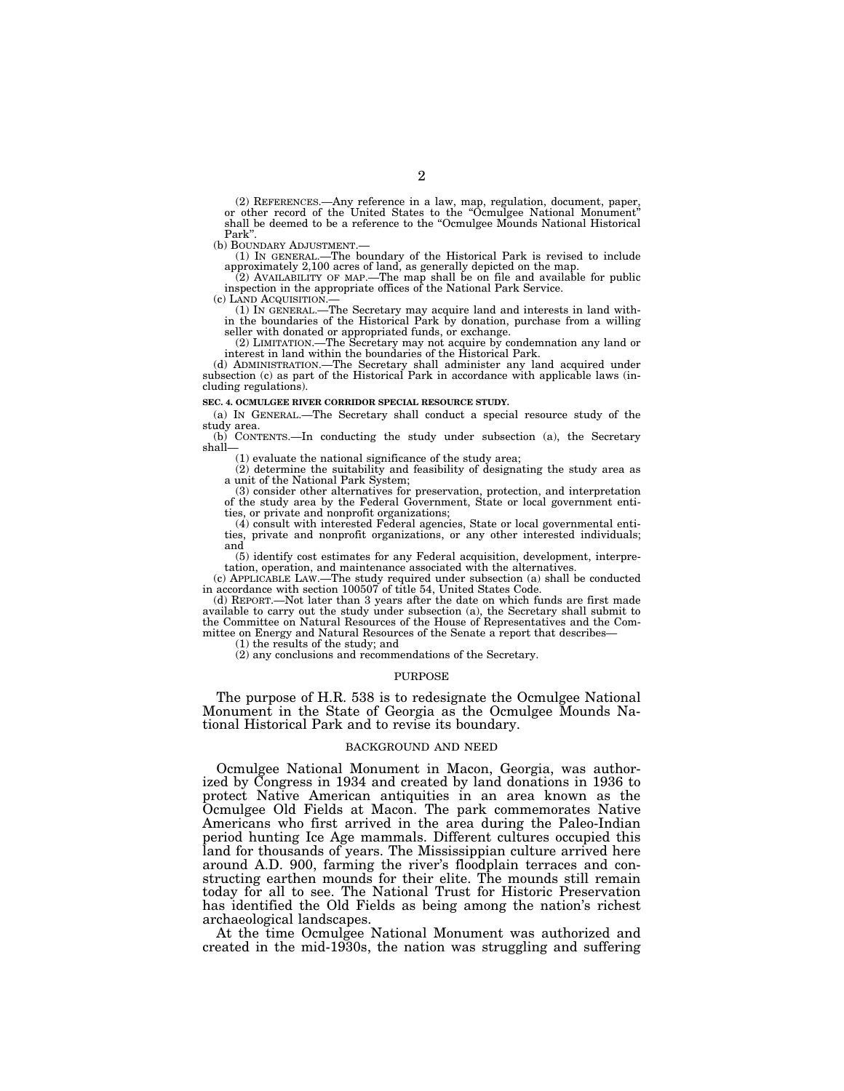(2) REFERENCES.—Any reference in a law, map, regulation, document, paper, or other record of the United States to the "Ocmulgee National Monument" shall be deemed to be a reference to the "Ocmulgee Mounds National Historic Park".<br>(b) BOUNDARY ADJUSTMENT.

(1) IN GENERAL.—The boundary of the Historical Park is revised to include approximately 2,100 acres of land, as generally depicted on the map. (2) AVAILABILITY OF MAP.—The map shall be on file and available for public

inspection in the appropriate offices of the National Park Service.<br>(c) LAND ACQUISITION.—

(1) IN GENERAL.—The Secretary may acquire land and interests in land within the boundaries of the Historical Park by donation, purchase from a willing seller with donated or appropriated funds, or exchange.

(2) LIMITATION.—The Secretary may not acquire by condemnation any land or interest in land within the boundaries of the Historical Park.

(d) ADMINISTRATION.—The Secretary shall administer any land acquired under subsection (c) as part of the Historical Park in accordance with applicable laws (including regulations).

#### **SEC. 4. OCMULGEE RIVER CORRIDOR SPECIAL RESOURCE STUDY.**

(a) IN GENERAL.—The Secretary shall conduct a special resource study of the study area.

(b) CONTENTS.—In conducting the study under subsection (a), the Secretary shall—

(1) evaluate the national significance of the study area;

(2) determine the suitability and feasibility of designating the study area as a unit of the National Park System;

(3) consider other alternatives for preservation, protection, and interpretation of the study area by the Federal Government, State or local government entities, or private and nonprofit organizations;

(4) consult with interested Federal agencies, State or local governmental entities, private and nonprofit organizations, or any other interested individuals; and

(5) identify cost estimates for any Federal acquisition, development, interpretation, operation, and maintenance associated with the alternatives.

(c) APPLICABLE LAW.—The study required under subsection (a) shall be conducted in accordance with section 100507 of title 54, United States Code.

(d) REPORT.—Not later than 3 years after the date on which funds are first made available to carry out the study under subsection (a), the Secretary shall submit to the Committee on Natural Resources of the House of Representatives and the Committee on Energy and Natural Resources of the Senate a report that describes—

(1) the results of the study; and

(2) any conclusions and recommendations of the Secretary.

#### PURPOSE

The purpose of H.R. 538 is to redesignate the Ocmulgee National Monument in the State of Georgia as the Ocmulgee Mounds National Historical Park and to revise its boundary.

#### BACKGROUND AND NEED

Ocmulgee National Monument in Macon, Georgia, was authorized by Congress in 1934 and created by land donations in 1936 to protect Native American antiquities in an area known as the Ocmulgee Old Fields at Macon. The park commemorates Native Americans who first arrived in the area during the Paleo-Indian period hunting Ice Age mammals. Different cultures occupied this land for thousands of years. The Mississippian culture arrived here around A.D. 900, farming the river's floodplain terraces and constructing earthen mounds for their elite. The mounds still remain today for all to see. The National Trust for Historic Preservation has identified the Old Fields as being among the nation's richest archaeological landscapes.

At the time Ocmulgee National Monument was authorized and created in the mid-1930s, the nation was struggling and suffering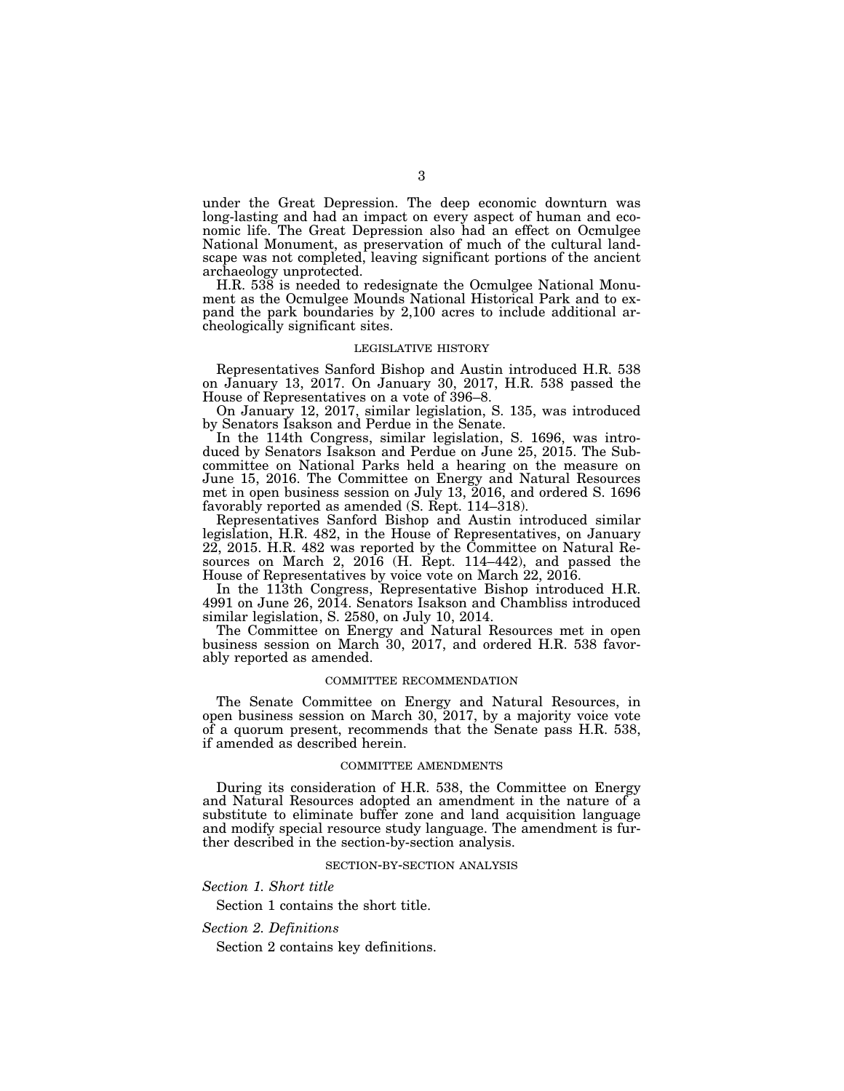under the Great Depression. The deep economic downturn was long-lasting and had an impact on every aspect of human and economic life. The Great Depression also had an effect on Ocmulgee National Monument, as preservation of much of the cultural landscape was not completed, leaving significant portions of the ancient archaeology unprotected.

H.R. 538 is needed to redesignate the Ocmulgee National Monument as the Ocmulgee Mounds National Historical Park and to expand the park boundaries by 2,100 acres to include additional archeologically significant sites.

#### LEGISLATIVE HISTORY

Representatives Sanford Bishop and Austin introduced H.R. 538 on January 13, 2017. On January 30, 2017, H.R. 538 passed the House of Representatives on a vote of 396–8.

On January 12, 2017, similar legislation, S. 135, was introduced by Senators Isakson and Perdue in the Senate.

In the 114th Congress, similar legislation, S. 1696, was introduced by Senators Isakson and Perdue on June 25, 2015. The Subcommittee on National Parks held a hearing on the measure on June 15, 2016. The Committee on Energy and Natural Resources met in open business session on July 13, 2016, and ordered S. 1696 favorably reported as amended (S. Rept. 114–318).

Representatives Sanford Bishop and Austin introduced similar legislation, H.R. 482, in the House of Representatives, on January 22, 2015. H.R. 482 was reported by the Committee on Natural Resources on March 2, 2016 (H. Rept. 114–442), and passed the House of Representatives by voice vote on March 22, 2016.

In the 113th Congress, Representative Bishop introduced H.R. 4991 on June 26, 2014. Senators Isakson and Chambliss introduced similar legislation, S. 2580, on July 10, 2014.

The Committee on Energy and Natural Resources met in open business session on March 30, 2017, and ordered H.R. 538 favorably reported as amended.

#### COMMITTEE RECOMMENDATION

The Senate Committee on Energy and Natural Resources, in open business session on March 30, 2017, by a majority voice vote of a quorum present, recommends that the Senate pass H.R. 538, if amended as described herein.

#### COMMITTEE AMENDMENTS

During its consideration of H.R. 538, the Committee on Energy and Natural Resources adopted an amendment in the nature of a substitute to eliminate buffer zone and land acquisition language and modify special resource study language. The amendment is further described in the section-by-section analysis.

#### SECTION-BY-SECTION ANALYSIS

*Section 1. Short title* 

Section 1 contains the short title.

*Section 2. Definitions* 

Section 2 contains key definitions.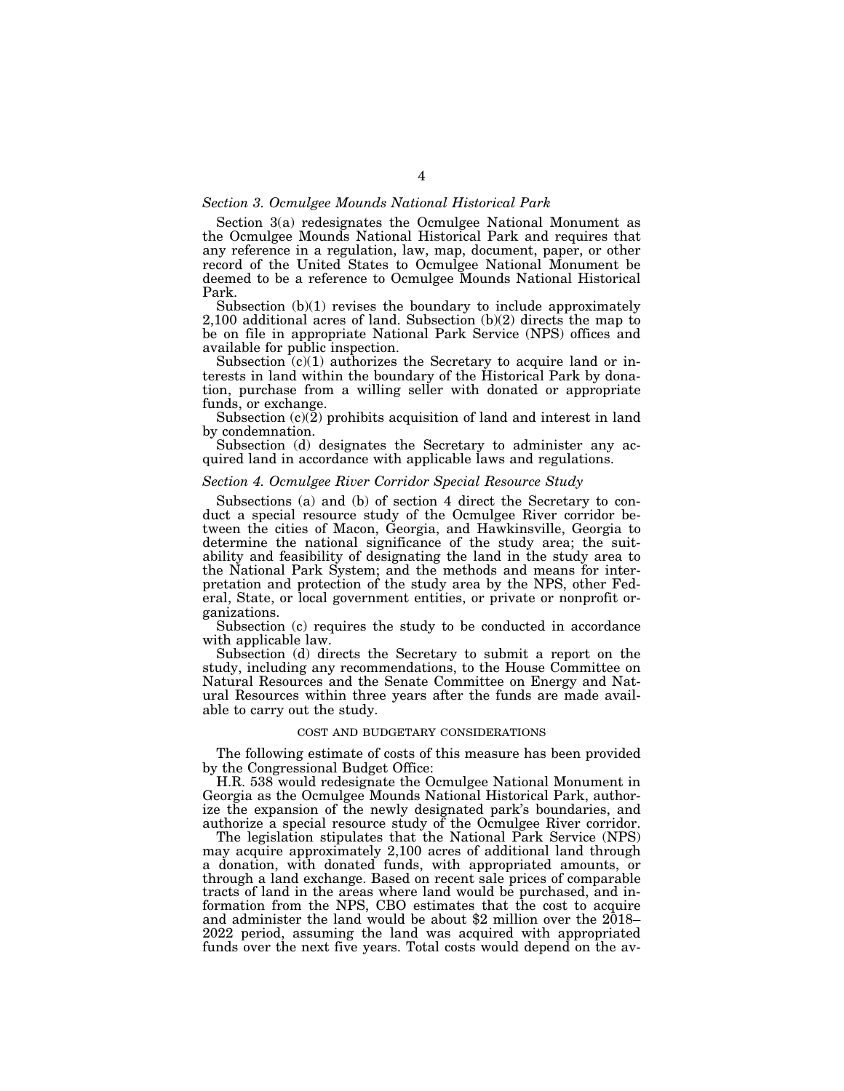### *Section 3. Ocmulgee Mounds National Historical Park*

Section 3(a) redesignates the Ocmulgee National Monument as the Ocmulgee Mounds National Historical Park and requires that any reference in a regulation, law, map, document, paper, or other record of the United States to Ocmulgee National Monument be deemed to be a reference to Ocmulgee Mounds National Historical Park.

Subsection (b)(1) revises the boundary to include approximately  $2,100$  additional acres of land. Subsection  $(b)(2)$  directs the map to be on file in appropriate National Park Service (NPS) offices and available for public inspection.

Subsection  $(c)(1)$  authorizes the Secretary to acquire land or interests in land within the boundary of the Historical Park by donation, purchase from a willing seller with donated or appropriate funds, or exchange.

Subsection (c)(2) prohibits acquisition of land and interest in land by condemnation.

Subsection (d) designates the Secretary to administer any acquired land in accordance with applicable laws and regulations.

#### *Section 4. Ocmulgee River Corridor Special Resource Study*

Subsections (a) and (b) of section 4 direct the Secretary to conduct a special resource study of the Ocmulgee River corridor between the cities of Macon, Georgia, and Hawkinsville, Georgia to determine the national significance of the study area; the suitability and feasibility of designating the land in the study area to the National Park System; and the methods and means for interpretation and protection of the study area by the NPS, other Federal, State, or local government entities, or private or nonprofit organizations.

Subsection (c) requires the study to be conducted in accordance with applicable law.

Subsection (d) directs the Secretary to submit a report on the study, including any recommendations, to the House Committee on Natural Resources and the Senate Committee on Energy and Natural Resources within three years after the funds are made available to carry out the study.

### COST AND BUDGETARY CONSIDERATIONS

The following estimate of costs of this measure has been provided by the Congressional Budget Office:

H.R. 538 would redesignate the Ocmulgee National Monument in Georgia as the Ocmulgee Mounds National Historical Park, authorize the expansion of the newly designated park's boundaries, and authorize a special resource study of the Ocmulgee River corridor.

The legislation stipulates that the National Park Service (NPS) may acquire approximately 2,100 acres of additional land through a donation, with donated funds, with appropriated amounts, or through a land exchange. Based on recent sale prices of comparable tracts of land in the areas where land would be purchased, and information from the NPS, CBO estimates that the cost to acquire and administer the land would be about \$2 million over the 2018– 2022 period, assuming the land was acquired with appropriated funds over the next five years. Total costs would depend on the av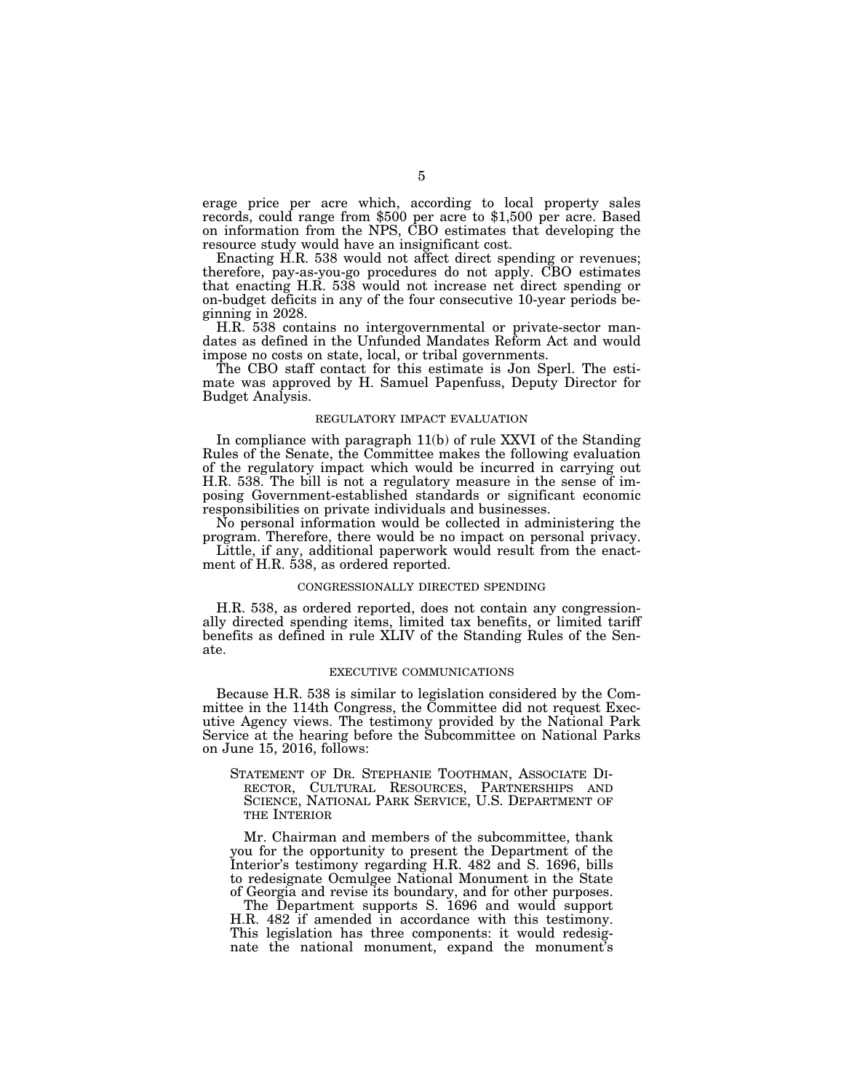erage price per acre which, according to local property sales records, could range from \$500 per acre to \$1,500 per acre. Based on information from the NPS, CBO estimates that developing the resource study would have an insignificant cost.

Enacting H.R. 538 would not affect direct spending or revenues; therefore, pay-as-you-go procedures do not apply. CBO estimates that enacting H.R. 538 would not increase net direct spending or on-budget deficits in any of the four consecutive 10-year periods beginning in 2028.

H.R. 538 contains no intergovernmental or private-sector mandates as defined in the Unfunded Mandates Reform Act and would impose no costs on state, local, or tribal governments.

The CBO staff contact for this estimate is Jon Sperl. The estimate was approved by H. Samuel Papenfuss, Deputy Director for Budget Analysis.

#### REGULATORY IMPACT EVALUATION

In compliance with paragraph 11(b) of rule XXVI of the Standing Rules of the Senate, the Committee makes the following evaluation of the regulatory impact which would be incurred in carrying out H.R. 538. The bill is not a regulatory measure in the sense of imposing Government-established standards or significant economic responsibilities on private individuals and businesses.

No personal information would be collected in administering the program. Therefore, there would be no impact on personal privacy.

Little, if any, additional paperwork would result from the enactment of H.R. 538, as ordered reported.

#### CONGRESSIONALLY DIRECTED SPENDING

H.R. 538, as ordered reported, does not contain any congressionally directed spending items, limited tax benefits, or limited tariff benefits as defined in rule XLIV of the Standing Rules of the Senate.

#### EXECUTIVE COMMUNICATIONS

Because H.R. 538 is similar to legislation considered by the Committee in the 114th Congress, the Committee did not request Executive Agency views. The testimony provided by the National Park Service at the hearing before the Subcommittee on National Parks on June 15, 2016, follows:

STATEMENT OF DR. STEPHANIE TOOTHMAN, ASSOCIATE DI-RECTOR, CULTURAL RESOURCES, PARTNERSHIPS AND SCIENCE, NATIONAL PARK SERVICE, U.S. DEPARTMENT OF THE INTERIOR

Mr. Chairman and members of the subcommittee, thank you for the opportunity to present the Department of the Interior's testimony regarding H.R. 482 and S. 1696, bills to redesignate Ocmulgee National Monument in the State of Georgia and revise its boundary, and for other purposes.

The Department supports S. 1696 and would support H.R. 482 if amended in accordance with this testimony. This legislation has three components: it would redesignate the national monument, expand the monument's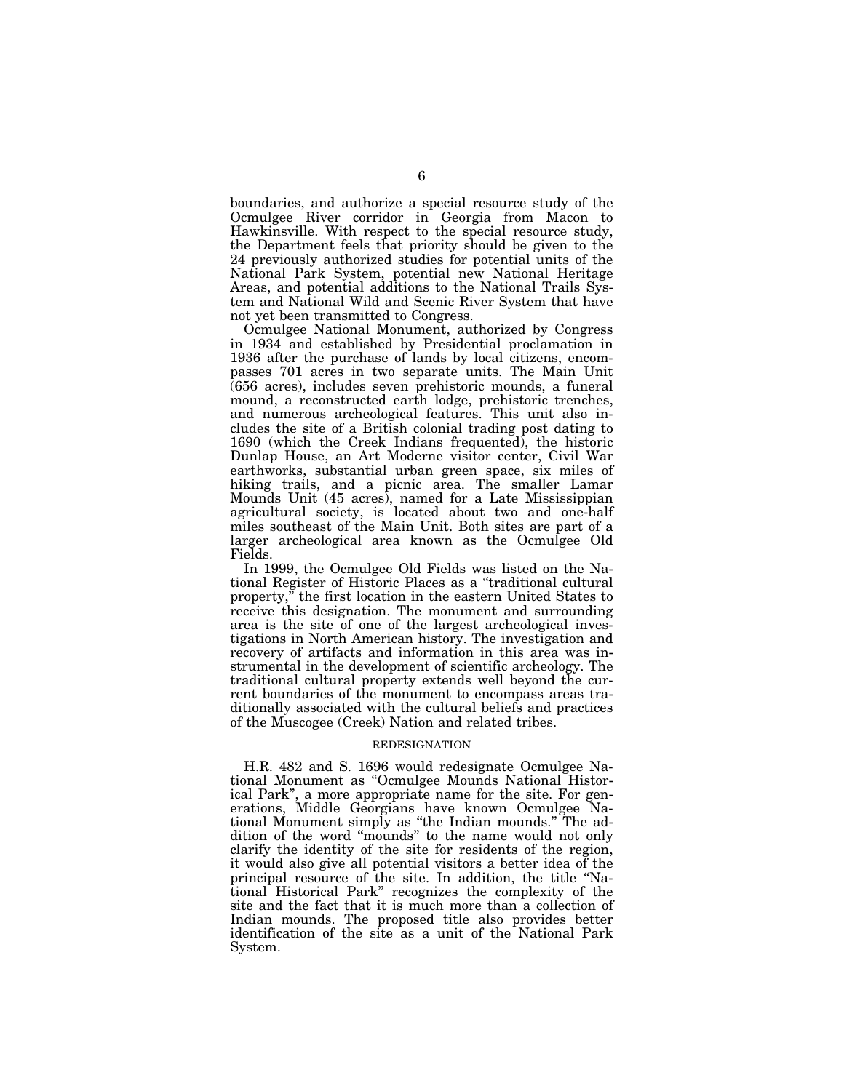boundaries, and authorize a special resource study of the Ocmulgee River corridor in Georgia from Macon to Hawkinsville. With respect to the special resource study, the Department feels that priority should be given to the 24 previously authorized studies for potential units of the National Park System, potential new National Heritage Areas, and potential additions to the National Trails System and National Wild and Scenic River System that have not yet been transmitted to Congress.

Ocmulgee National Monument, authorized by Congress in 1934 and established by Presidential proclamation in 1936 after the purchase of lands by local citizens, encompasses 701 acres in two separate units. The Main Unit (656 acres), includes seven prehistoric mounds, a funeral mound, a reconstructed earth lodge, prehistoric trenches, and numerous archeological features. This unit also includes the site of a British colonial trading post dating to 1690 (which the Creek Indians frequented), the historic Dunlap House, an Art Moderne visitor center, Civil War earthworks, substantial urban green space, six miles of hiking trails, and a picnic area. The smaller Lamar Mounds Unit (45 acres), named for a Late Mississippian agricultural society, is located about two and one-half miles southeast of the Main Unit. Both sites are part of a larger archeological area known as the Ocmulgee Old Fields.

In 1999, the Ocmulgee Old Fields was listed on the National Register of Historic Places as a ''traditional cultural property,'' the first location in the eastern United States to receive this designation. The monument and surrounding area is the site of one of the largest archeological investigations in North American history. The investigation and recovery of artifacts and information in this area was instrumental in the development of scientific archeology. The traditional cultural property extends well beyond the current boundaries of the monument to encompass areas traditionally associated with the cultural beliefs and practices of the Muscogee (Creek) Nation and related tribes.

#### REDESIGNATION

H.R. 482 and S. 1696 would redesignate Ocmulgee National Monument as ''Ocmulgee Mounds National Historical Park'', a more appropriate name for the site. For generations, Middle Georgians have known Ocmulgee National Monument simply as ''the Indian mounds.'' The addition of the word ''mounds'' to the name would not only clarify the identity of the site for residents of the region, it would also give all potential visitors a better idea of the principal resource of the site. In addition, the title ''National Historical Park'' recognizes the complexity of the site and the fact that it is much more than a collection of Indian mounds. The proposed title also provides better identification of the site as a unit of the National Park System.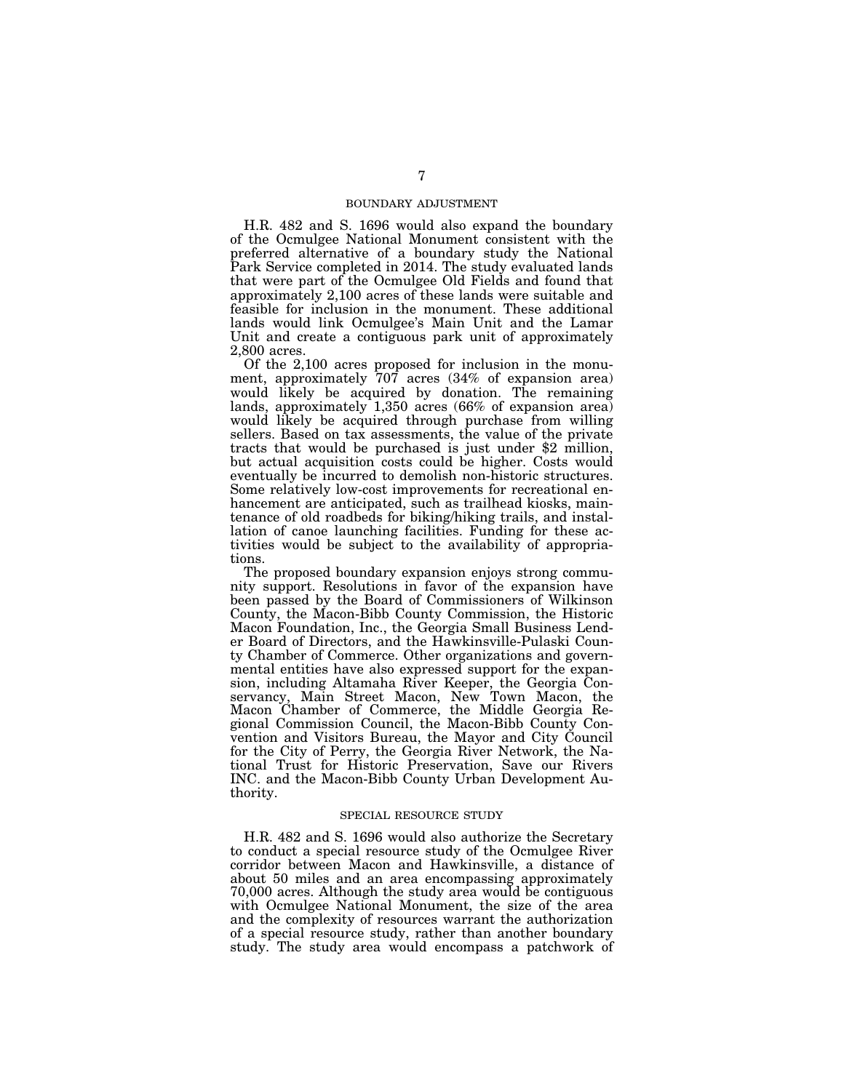### BOUNDARY ADJUSTMENT

H.R. 482 and S. 1696 would also expand the boundary of the Ocmulgee National Monument consistent with the preferred alternative of a boundary study the National Park Service completed in 2014. The study evaluated lands that were part of the Ocmulgee Old Fields and found that approximately 2,100 acres of these lands were suitable and feasible for inclusion in the monument. These additional lands would link Ocmulgee's Main Unit and the Lamar Unit and create a contiguous park unit of approximately 2,800 acres.

Of the 2,100 acres proposed for inclusion in the monument, approximately 707 acres (34% of expansion area) would likely be acquired by donation. The remaining lands, approximately 1,350 acres (66% of expansion area) would likely be acquired through purchase from willing sellers. Based on tax assessments, the value of the private tracts that would be purchased is just under \$2 million, but actual acquisition costs could be higher. Costs would eventually be incurred to demolish non-historic structures. Some relatively low-cost improvements for recreational enhancement are anticipated, such as trailhead kiosks, maintenance of old roadbeds for biking/hiking trails, and installation of canoe launching facilities. Funding for these activities would be subject to the availability of appropriations.

The proposed boundary expansion enjoys strong community support. Resolutions in favor of the expansion have been passed by the Board of Commissioners of Wilkinson County, the Macon-Bibb County Commission, the Historic Macon Foundation, Inc., the Georgia Small Business Lender Board of Directors, and the Hawkinsville-Pulaski County Chamber of Commerce. Other organizations and governmental entities have also expressed support for the expansion, including Altamaha River Keeper, the Georgia Conservancy, Main Street Macon, New Town Macon, the Macon Chamber of Commerce, the Middle Georgia Regional Commission Council, the Macon-Bibb County Convention and Visitors Bureau, the Mayor and City Council for the City of Perry, the Georgia River Network, the National Trust for Historic Preservation, Save our Rivers INC. and the Macon-Bibb County Urban Development Authority.

#### SPECIAL RESOURCE STUDY

H.R. 482 and S. 1696 would also authorize the Secretary to conduct a special resource study of the Ocmulgee River corridor between Macon and Hawkinsville, a distance of about 50 miles and an area encompassing approximately 70,000 acres. Although the study area would be contiguous with Ocmulgee National Monument, the size of the area and the complexity of resources warrant the authorization of a special resource study, rather than another boundary study. The study area would encompass a patchwork of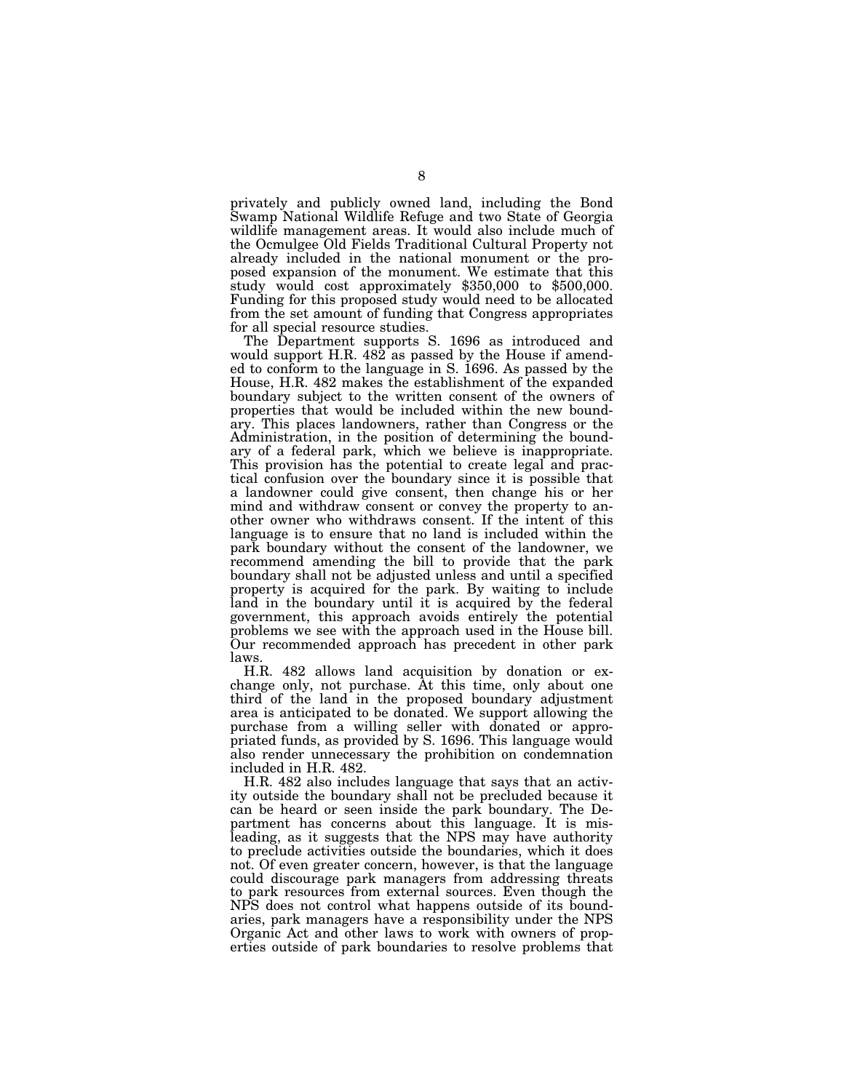privately and publicly owned land, including the Bond Swamp National Wildlife Refuge and two State of Georgia wildlife management areas. It would also include much of the Ocmulgee Old Fields Traditional Cultural Property not already included in the national monument or the proposed expansion of the monument. We estimate that this study would cost approximately \$350,000 to \$500,000. Funding for this proposed study would need to be allocated from the set amount of funding that Congress appropriates for all special resource studies.

The Department supports S. 1696 as introduced and would support H.R.  $482$  as passed by the House if amended to conform to the language in S. 1696. As passed by the House, H.R. 482 makes the establishment of the expanded boundary subject to the written consent of the owners of properties that would be included within the new boundary. This places landowners, rather than Congress or the Administration, in the position of determining the boundary of a federal park, which we believe is inappropriate. This provision has the potential to create legal and practical confusion over the boundary since it is possible that a landowner could give consent, then change his or her mind and withdraw consent or convey the property to another owner who withdraws consent. If the intent of this language is to ensure that no land is included within the park boundary without the consent of the landowner, we recommend amending the bill to provide that the park boundary shall not be adjusted unless and until a specified property is acquired for the park. By waiting to include land in the boundary until it is acquired by the federal government, this approach avoids entirely the potential problems we see with the approach used in the House bill. Our recommended approach has precedent in other park laws.

H.R. 482 allows land acquisition by donation or exchange only, not purchase. At this time, only about one third of the land in the proposed boundary adjustment area is anticipated to be donated. We support allowing the purchase from a willing seller with donated or appropriated funds, as provided by S. 1696. This language would also render unnecessary the prohibition on condemnation included in H.R. 482.

H.R. 482 also includes language that says that an activity outside the boundary shall not be precluded because it can be heard or seen inside the park boundary. The Department has concerns about this language. It is misleading, as it suggests that the NPS may have authority to preclude activities outside the boundaries, which it does not. Of even greater concern, however, is that the language could discourage park managers from addressing threats to park resources from external sources. Even though the NPS does not control what happens outside of its boundaries, park managers have a responsibility under the NPS Organic Act and other laws to work with owners of properties outside of park boundaries to resolve problems that